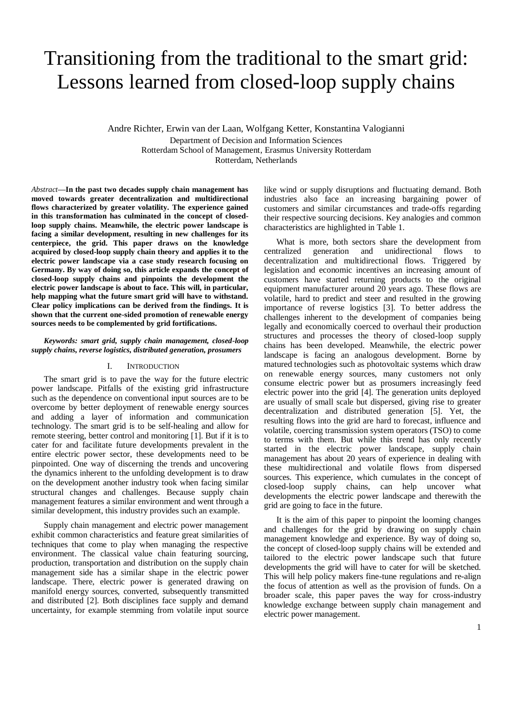# Transitioning from the traditional to the smart grid: Lessons learned from closed-loop supply chains

Andre Richter, Erwin van der Laan, Wolfgang Ketter, Konstantina Valogianni Department of Decision and Information Sciences Rotterdam School of Management, Erasmus University Rotterdam Rotterdam, Netherlands

*Abstract***—In the past two decades supply chain management has moved towards greater decentralization and multidirectional flows characterized by greater volatility. The experience gained in this transformation has culminated in the concept of closedloop supply chains. Meanwhile, the electric power landscape is facing a similar development, resulting in new challenges for its centerpiece, the grid. This paper draws on the knowledge acquired by closed-loop supply chain theory and applies it to the electric power landscape via a case study research focusing on Germany. By way of doing so, this article expands the concept of closed-loop supply chains and pinpoints the development the electric power landscape is about to face. This will, in particular, help mapping what the future smart grid will have to withstand. Clear policy implications can be derived from the findings. It is shown that the current one-sided promotion of renewable energy sources needs to be complemented by grid fortifications.** 

## *Keywords: smart grid, supply chain management, closed-loop supply chains, reverse logistics, distributed generation, prosumers*

## I. INTRODUCTION

The smart grid is to pave the way for the future electric power landscape. Pitfalls of the existing grid infrastructure such as the dependence on conventional input sources are to be overcome by better deployment of renewable energy sources and adding a layer of information and communication technology. The smart grid is to be self-healing and allow for remote steering, better control and monitoring [1]. But if it is to cater for and facilitate future developments prevalent in the entire electric power sector, these developments need to be pinpointed. One way of discerning the trends and uncovering the dynamics inherent to the unfolding development is to draw on the development another industry took when facing similar structural changes and challenges. Because supply chain management features a similar environment and went through a similar development, this industry provides such an example.

Supply chain management and electric power management exhibit common characteristics and feature great similarities of techniques that come to play when managing the respective environment. The classical value chain featuring sourcing, production, transportation and distribution on the supply chain management side has a similar shape in the electric power landscape. There, electric power is generated drawing on manifold energy sources, converted, subsequently transmitted and distributed [2]. Both disciplines face supply and demand uncertainty, for example stemming from volatile input source

like wind or supply disruptions and fluctuating demand. Both industries also face an increasing bargaining power of customers and similar circumstances and trade-offs regarding their respective sourcing decisions. Key analogies and common characteristics are highlighted in Table 1.

What is more, both sectors share the development from tralized generation and unidirectional flows to centralized generation and unidirectional flows to decentralization and multidirectional flows. Triggered by legislation and economic incentives an increasing amount of customers have started returning products to the original equipment manufacturer around 20 years ago. These flows are volatile, hard to predict and steer and resulted in the growing importance of reverse logistics [3]. To better address the challenges inherent to the development of companies being legally and economically coerced to overhaul their production structures and processes the theory of closed-loop supply chains has been developed. Meanwhile, the electric power landscape is facing an analogous development. Borne by matured technologies such as photovoltaic systems which draw on renewable energy sources, many customers not only consume electric power but as prosumers increasingly feed electric power into the grid [4]. The generation units deployed are usually of small scale but dispersed, giving rise to greater decentralization and distributed generation [5]. Yet, the resulting flows into the grid are hard to forecast, influence and volatile, coercing transmission system operators (TSO) to come to terms with them. But while this trend has only recently started in the electric power landscape, supply chain management has about 20 years of experience in dealing with these multidirectional and volatile flows from dispersed sources. This experience, which cumulates in the concept of closed-loop supply chains, can help uncover what developments the electric power landscape and therewith the grid are going to face in the future.

It is the aim of this paper to pinpoint the looming changes and challenges for the grid by drawing on supply chain management knowledge and experience. By way of doing so, the concept of closed-loop supply chains will be extended and tailored to the electric power landscape such that future developments the grid will have to cater for will be sketched. This will help policy makers fine-tune regulations and re-align the focus of attention as well as the provision of funds. On a broader scale, this paper paves the way for cross-industry knowledge exchange between supply chain management and electric power management.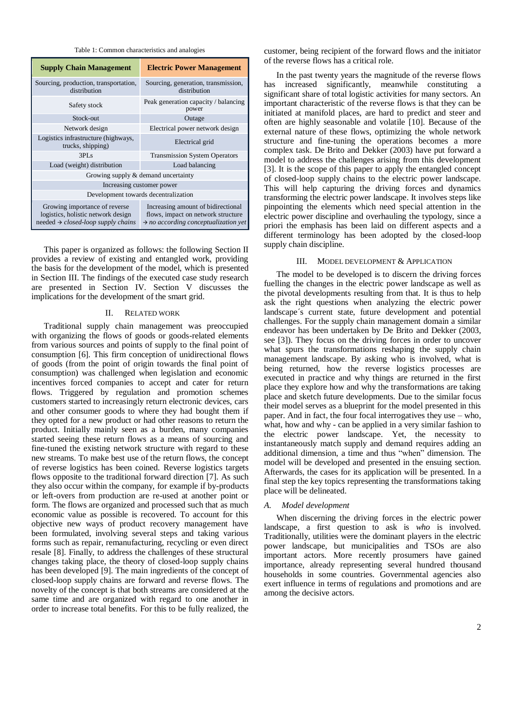Table 1: Common characteristics and analogies

| <b>Supply Chain Management</b>                                                                                               | <b>Electric Power Management</b>                                                                                             |  |  |
|------------------------------------------------------------------------------------------------------------------------------|------------------------------------------------------------------------------------------------------------------------------|--|--|
| Sourcing, production, transportation,<br>distribution                                                                        | Sourcing, generation, transmission,<br>distribution                                                                          |  |  |
| Safety stock                                                                                                                 | Peak generation capacity / balancing<br>power                                                                                |  |  |
| Stock-out                                                                                                                    | Outage                                                                                                                       |  |  |
| Network design                                                                                                               | Electrical power network design                                                                                              |  |  |
| Logistics infrastructure (highways,<br>trucks, shipping)                                                                     | Electrical grid                                                                                                              |  |  |
| 3PIs                                                                                                                         | <b>Transmission System Operators</b>                                                                                         |  |  |
| Load (weight) distribution                                                                                                   | Load balancing                                                                                                               |  |  |
| Growing supply & demand uncertainty                                                                                          |                                                                                                                              |  |  |
| Increasing customer power                                                                                                    |                                                                                                                              |  |  |
| Development towards decentralization                                                                                         |                                                                                                                              |  |  |
| Growing importance of reverse<br>logistics, holistic network design<br>needed $\rightarrow$ <i>closed-loop supply chains</i> | Increasing amount of bidirectional<br>flows, impact on network structure<br>$\rightarrow$ no according conceptualization yet |  |  |

This paper is organized as follows: the following Section II provides a review of existing and entangled work, providing the basis for the development of the model, which is presented in Section III. The findings of the executed case study research are presented in Section IV. Section V discusses the implications for the development of the smart grid.

#### II. RELATED WORK

Traditional supply chain management was preoccupied with organizing the flows of goods or goods-related elements from various sources and points of supply to the final point of consumption [6]. This firm conception of unidirectional flows of goods (from the point of origin towards the final point of consumption) was challenged when legislation and economic incentives forced companies to accept and cater for return flows. Triggered by regulation and promotion schemes customers started to increasingly return electronic devices, cars and other consumer goods to where they had bought them if they opted for a new product or had other reasons to return the product. Initially mainly seen as a burden, many companies started seeing these return flows as a means of sourcing and fine-tuned the existing network structure with regard to these new streams. To make best use of the return flows, the concept of reverse logistics has been coined. Reverse logistics targets flows opposite to the traditional forward direction [7]. As such they also occur within the company, for example if by-products or left-overs from production are re-used at another point or form. The flows are organized and processed such that as much economic value as possible is recovered. To account for this objective new ways of product recovery management have been formulated, involving several steps and taking various forms such as repair, remanufacturing, recycling or even direct resale [8]. Finally, to address the challenges of these structural changes taking place, the theory of closed-loop supply chains has been developed [9]. The main ingredients of the concept of closed-loop supply chains are forward and reverse flows. The novelty of the concept is that both streams are considered at the same time and are organized with regard to one another in order to increase total benefits. For this to be fully realized, the

customer, being recipient of the forward flows and the initiator of the reverse flows has a critical role.

In the past twenty years the magnitude of the reverse flows has increased significantly, meanwhile constituting a significant share of total logistic activities for many sectors. An important characteristic of the reverse flows is that they can be initiated at manifold places, are hard to predict and steer and often are highly seasonable and volatile [10]. Because of the external nature of these flows, optimizing the whole network structure and fine-tuning the operations becomes a more complex task. De Brito and Dekker (2003) have put forward a model to address the challenges arising from this development [3]. It is the scope of this paper to apply the entangled concept of closed-loop supply chains to the electric power landscape. This will help capturing the driving forces and dynamics transforming the electric power landscape. It involves steps like pinpointing the elements which need special attention in the electric power discipline and overhauling the typology, since a priori the emphasis has been laid on different aspects and a different terminology has been adopted by the closed-loop supply chain discipline.

## III. MODEL DEVELOPMENT & APPLICATION

The model to be developed is to discern the driving forces fuelling the changes in the electric power landscape as well as the pivotal developments resulting from that. It is thus to help ask the right questions when analyzing the electric power landscape´s current state, future development and potential challenges. For the supply chain management domain a similar endeavor has been undertaken by De Brito and Dekker (2003, see [3]). They focus on the driving forces in order to uncover what spurs the transformations reshaping the supply chain management landscape. By asking who is involved, what is being returned, how the reverse logistics processes are executed in practice and why things are returned in the first place they explore how and why the transformations are taking place and sketch future developments. Due to the similar focus their model serves as a blueprint for the model presented in this paper. And in fact, the four focal interrogatives they use – who, what, how and why - can be applied in a very similar fashion to the electric power landscape. Yet, the necessity to instantaneously match supply and demand requires adding an additional dimension, a time and thus "when" dimension. The model will be developed and presented in the ensuing section. Afterwards, the cases for its application will be presented. In a final step the key topics representing the transformations taking place will be delineated.

## *A. Model development*

When discerning the driving forces in the electric power landscape, a first question to ask is *who* is involved. Traditionally, utilities were the dominant players in the electric power landscape, but municipalities and TSOs are also important actors. More recently prosumers have gained importance, already representing several hundred thousand households in some countries. Governmental agencies also exert influence in terms of regulations and promotions and are among the decisive actors.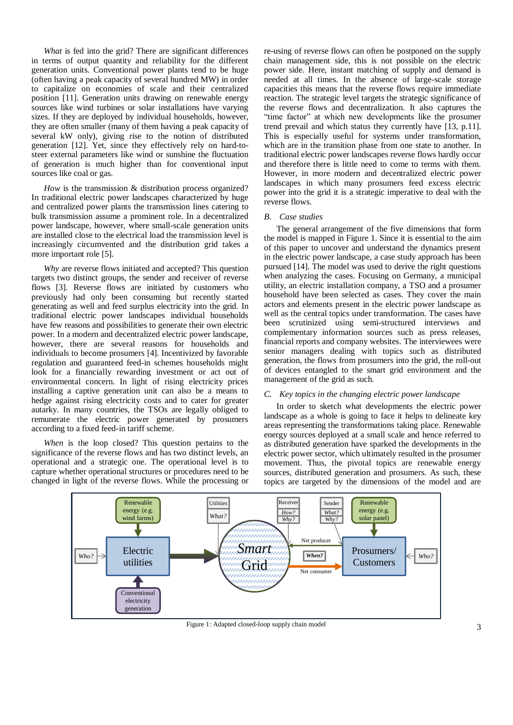*What* is fed into the grid? There are significant differences in terms of output quantity and reliability for the different generation units. Conventional power plants tend to be huge (often having a peak capacity of several hundred MW) in order to capitalize on economies of scale and their centralized position [11]. Generation units drawing on renewable energy sources like wind turbines or solar installations have varying sizes. If they are deployed by individual households, however, they are often smaller (many of them having a peak capacity of several kW only), giving rise to the notion of distributed generation [12]. Yet, since they effectively rely on hard-tosteer external parameters like wind or sunshine the fluctuation of generation is much higher than for conventional input sources like coal or gas.

*How* is the transmission & distribution process organized? In traditional electric power landscapes characterized by huge and centralized power plants the transmission lines catering to bulk transmission assume a prominent role. In a decentralized power landscape, however, where small-scale generation units are installed close to the electrical load the transmission level is increasingly circumvented and the distribution grid takes a more important role [5].

*Why* are reverse flows initiated and accepted? This question targets two distinct groups, the sender and receiver of reverse flows [3]. Reverse flows are initiated by customers who previously had only been consuming but recently started generating as well and feed surplus electricity into the grid. In traditional electric power landscapes individual households have few reasons and possibilities to generate their own electric power. In a modern and decentralized electric power landscape, however, there are several reasons for households and individuals to become prosumers [4]. Incentivized by favorable regulation and guaranteed feed-in schemes households might look for a financially rewarding investment or act out of environmental concern. In light of rising electricity prices installing a captive generation unit can also be a means to hedge against rising electricity costs and to cater for greater autarky. In many countries, the TSOs are legally obliged to remunerate the electric power generated by prosumers according to a fixed feed-in tariff scheme.

*When* is the loop closed? This question pertains to the significance of the reverse flows and has two distinct levels, an operational and a strategic one. The operational level is to capture whether operational structures or procedures need to be changed in light of the reverse flows. While the processing or

re-using of reverse flows can often be postponed on the supply chain management side, this is not possible on the electric power side. Here, instant matching of supply and demand is needed at all times. In the absence of large-scale storage capacities this means that the reverse flows require immediate reaction. The strategic level targets the strategic significance of the reverse flows and decentralization. It also captures the "time factor" at which new developments like the prosumer trend prevail and which status they currently have [13, p.11]. This is especially useful for systems under transformation, which are in the transition phase from one state to another. In traditional electric power landscapes reverse flows hardly occur and therefore there is little need to come to terms with them. However, in more modern and decentralized electric power landscapes in which many prosumers feed excess electric power into the grid it is a strategic imperative to deal with the reverse flows.

### *B. Case studies*

The general arrangement of the five dimensions that form the model is mapped in Figure 1. Since it is essential to the aim of this paper to uncover and understand the dynamics present in the electric power landscape, a case study approach has been pursued [14]. The model was used to derive the right questions when analyzing the cases. Focusing on Germany, a municipal utility, an electric installation company, a TSO and a prosumer household have been selected as cases. They cover the main actors and elements present in the electric power landscape as well as the central topics under transformation. The cases have been scrutinized using semi-structured interviews and complementary information sources such as press releases, financial reports and company websites. The interviewees were senior managers dealing with topics such as distributed generation, the flows from prosumers into the grid, the roll-out of devices entangled to the smart grid environment and the management of the grid as such.

## *C. Key topics in the changing electric power landscape*

In order to sketch what developments the electric power landscape as a whole is going to face it helps to delineate key areas representing the transformations taking place. Renewable energy sources deployed at a small scale and hence referred to as distributed generation have sparked the developments in the electric power sector, which ultimately resulted in the prosumer movement. Thus, the pivotal topics are renewable energy sources, distributed generation and prosumers. As such, these topics are targeted by the dimensions of the model and are



Figure 1: Adapted closed-loop supply chain model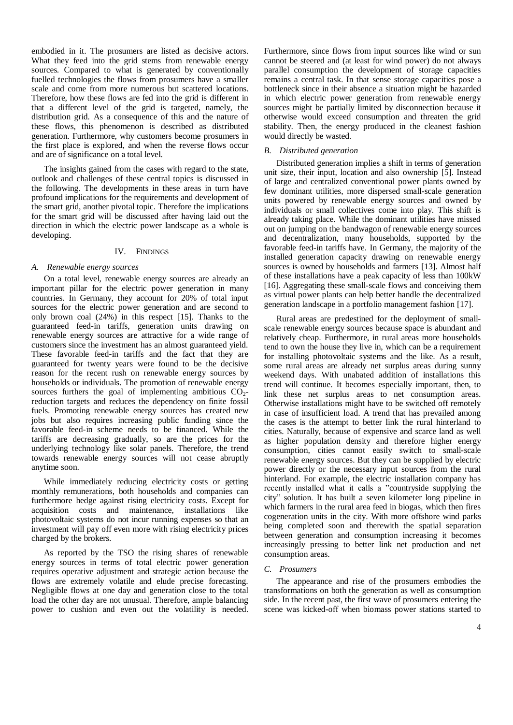embodied in it. The prosumers are listed as decisive actors. What they feed into the grid stems from renewable energy sources. Compared to what is generated by conventionally fuelled technologies the flows from prosumers have a smaller scale and come from more numerous but scattered locations. Therefore, how these flows are fed into the grid is different in that a different level of the grid is targeted, namely, the distribution grid. As a consequence of this and the nature of these flows, this phenomenon is described as distributed generation. Furthermore, why customers become prosumers in the first place is explored, and when the reverse flows occur and are of significance on a total level.

The insights gained from the cases with regard to the state, outlook and challenges of these central topics is discussed in the following. The developments in these areas in turn have profound implications for the requirements and development of the smart grid, another pivotal topic. Therefore the implications for the smart grid will be discussed after having laid out the direction in which the electric power landscape as a whole is developing.

## IV. FINDINGS

#### *A. Renewable energy sources*

On a total level, renewable energy sources are already an important pillar for the electric power generation in many countries. In Germany, they account for 20% of total input sources for the electric power generation and are second to only brown coal (24%) in this respect [15]. Thanks to the guaranteed feed-in tariffs, generation units drawing on renewable energy sources are attractive for a wide range of customers since the investment has an almost guaranteed yield. These favorable feed-in tariffs and the fact that they are guaranteed for twenty years were found to be the decisive reason for the recent rush on renewable energy sources by households or individuals. The promotion of renewable energy sources furthers the goal of implementing ambitious  $CO<sub>2</sub>$ reduction targets and reduces the dependency on finite fossil fuels. Promoting renewable energy sources has created new jobs but also requires increasing public funding since the favorable feed-in scheme needs to be financed. While the tariffs are decreasing gradually, so are the prices for the underlying technology like solar panels. Therefore, the trend towards renewable energy sources will not cease abruptly anytime soon.

While immediately reducing electricity costs or getting monthly remunerations, both households and companies can furthermore hedge against rising electricity costs. Except for acquisition costs and maintenance, installations like photovoltaic systems do not incur running expenses so that an investment will pay off even more with rising electricity prices charged by the brokers.

As reported by the TSO the rising shares of renewable energy sources in terms of total electric power generation requires operative adjustment and strategic action because the flows are extremely volatile and elude precise forecasting. Negligible flows at one day and generation close to the total load the other day are not unusual. Therefore, ample balancing power to cushion and even out the volatility is needed.

Furthermore, since flows from input sources like wind or sun cannot be steered and (at least for wind power) do not always parallel consumption the development of storage capacities remains a central task. In that sense storage capacities pose a bottleneck since in their absence a situation might be hazarded in which electric power generation from renewable energy sources might be partially limited by disconnection because it otherwise would exceed consumption and threaten the grid stability. Then, the energy produced in the cleanest fashion would directly be wasted.

### *B. Distributed generation*

Distributed generation implies a shift in terms of generation unit size, their input, location and also ownership [5]. Instead of large and centralized conventional power plants owned by few dominant utilities, more dispersed small-scale generation units powered by renewable energy sources and owned by individuals or small collectives come into play. This shift is already taking place. While the dominant utilities have missed out on jumping on the bandwagon of renewable energy sources and decentralization, many households, supported by the favorable feed-in tariffs have. In Germany, the majority of the installed generation capacity drawing on renewable energy sources is owned by households and farmers [13]. Almost half of these installations have a peak capacity of less than 100kW [16]. Aggregating these small-scale flows and conceiving them as virtual power plants can help better handle the decentralized generation landscape in a portfolio management fashion [17].

Rural areas are predestined for the deployment of smallscale renewable energy sources because space is abundant and relatively cheap. Furthermore, in rural areas more households tend to own the house they live in, which can be a requirement for installing photovoltaic systems and the like. As a result, some rural areas are already net surplus areas during sunny weekend days. With unabated addition of installations this trend will continue. It becomes especially important, then, to link these net surplus areas to net consumption areas. Otherwise installations might have to be switched off remotely in case of insufficient load. A trend that has prevailed among the cases is the attempt to better link the rural hinterland to cities. Naturally, because of expensive and scarce land as well as higher population density and therefore higher energy consumption, cities cannot easily switch to small-scale renewable energy sources. But they can be supplied by electric power directly or the necessary input sources from the rural hinterland. For example, the electric installation company has recently installed what it calls a "countryside supplying the city" solution. It has built a seven kilometer long pipeline in which farmers in the rural area feed in biogas, which then fires cogeneration units in the city. With more offshore wind parks being completed soon and therewith the spatial separation between generation and consumption increasing it becomes increasingly pressing to better link net production and net consumption areas.

## *C. Prosumers*

The appearance and rise of the prosumers embodies the transformations on both the generation as well as consumption side. In the recent past, the first wave of prosumers entering the scene was kicked-off when biomass power stations started to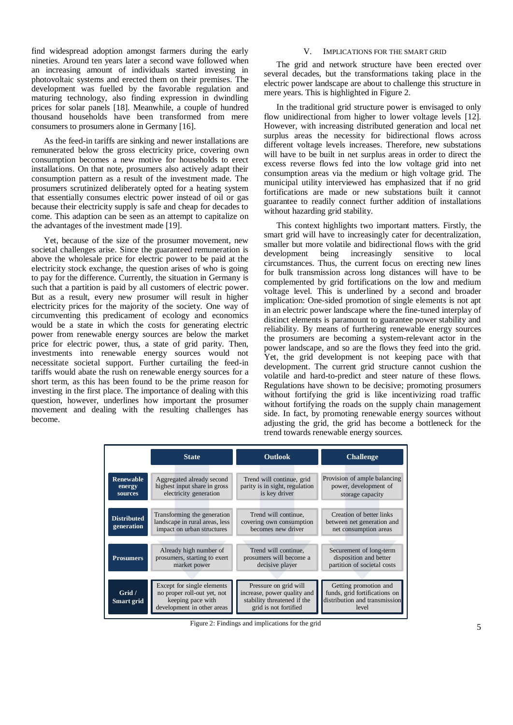find widespread adoption amongst farmers during the early nineties. Around ten years later a second wave followed when an increasing amount of individuals started investing in photovoltaic systems and erected them on their premises. The development was fuelled by the favorable regulation and maturing technology, also finding expression in dwindling prices for solar panels [18]. Meanwhile, a couple of hundred thousand households have been transformed from mere consumers to prosumers alone in Germany [16].

As the feed-in tariffs are sinking and newer installations are remunerated below the gross electricity price, covering own consumption becomes a new motive for households to erect installations. On that note, prosumers also actively adapt their consumption pattern as a result of the investment made. The prosumers scrutinized deliberately opted for a heating system that essentially consumes electric power instead of oil or gas because their electricity supply is safe and cheap for decades to come. This adaption can be seen as an attempt to capitalize on the advantages of the investment made [19].

Yet, because of the size of the prosumer movement, new societal challenges arise. Since the guaranteed remuneration is above the wholesale price for electric power to be paid at the electricity stock exchange, the question arises of who is going to pay for the difference. Currently, the situation in Germany is such that a partition is paid by all customers of electric power. But as a result, every new prosumer will result in higher electricity prices for the majority of the society. One way of circumventing this predicament of ecology and economics would be a state in which the costs for generating electric power from renewable energy sources are below the market price for electric power, thus, a state of grid parity. Then, investments into renewable energy sources would not necessitate societal support. Further curtailing the feed-in tariffs would abate the rush on renewable energy sources for a short term, as this has been found to be the prime reason for investing in the first place. The importance of dealing with this question, however, underlines how important the prosumer movement and dealing with the resulting challenges has become.

## V. IMPLICATIONS FOR THE SMART GRID

The grid and network structure have been erected over several decades, but the transformations taking place in the electric power landscape are about to challenge this structure in mere years. This is highlighted in Figure 2.

In the traditional grid structure power is envisaged to only flow unidirectional from higher to lower voltage levels [12]. However, with increasing distributed generation and local net surplus areas the necessity for bidirectional flows across different voltage levels increases. Therefore, new substations will have to be built in net surplus areas in order to direct the excess reverse flows fed into the low voltage grid into net consumption areas via the medium or high voltage grid. The municipal utility interviewed has emphasized that if no grid fortifications are made or new substations built it cannot guarantee to readily connect further addition of installations without hazarding grid stability.

This context highlights two important matters. Firstly, the smart grid will have to increasingly cater for decentralization, smaller but more volatile and bidirectional flows with the grid development being increasingly sensitive to local circumstances. Thus, the current focus on erecting new lines for bulk transmission across long distances will have to be complemented by grid fortifications on the low and medium voltage level. This is underlined by a second and broader implication: One-sided promotion of single elements is not apt in an electric power landscape where the fine-tuned interplay of distinct elements is paramount to guarantee power stability and reliability. By means of furthering renewable energy sources the prosumers are becoming a system-relevant actor in the power landscape, and so are the flows they feed into the grid. Yet, the grid development is not keeping pace with that development. The current grid structure cannot cushion the volatile and hard-to-predict and steer nature of these flows. Regulations have shown to be decisive; promoting prosumers without fortifying the grid is like incentivizing road traffic without fortifying the roads on the supply chain management side. In fact, by promoting renewable energy sources without adjusting the grid, the grid has become a bottleneck for the trend towards renewable energy sources.

|                                  | <b>State</b>                                                                                                 | <b>Outlook</b>                                                                                               | <b>Challenge</b>                                                                                 |
|----------------------------------|--------------------------------------------------------------------------------------------------------------|--------------------------------------------------------------------------------------------------------------|--------------------------------------------------------------------------------------------------|
| Renewable<br>energy<br>sources   | Aggregated already second<br>highest input share in gross<br>electricity generation                          | Trend will continue, grid<br>parity is in sight, regulation<br>is key driver                                 | Provision of ample balancing<br>power, development of<br>storage capacity                        |
| <b>Distributed</b><br>generation | Transforming the generation<br>landscape in rural areas, less<br>impact on urban structures                  | Trend will continue.<br>covering own consumption<br>becomes new driver                                       | Creation of better links<br>between net generation and<br>net consumption areas                  |
| <b>Prosumers</b>                 | Already high number of<br>prosumers, starting to exert<br>market power                                       | Trend will continue,<br>prosumers will become a<br>decisive player                                           | Securement of long-term<br>disposition and better<br>partition of societal costs                 |
| Grid $/$<br>Smart grid           | Except for single elements<br>no proper roll-out yet, not<br>keeping pace with<br>development in other areas | Pressure on grid will<br>increase, power quality and<br>stability threatened if the<br>grid is not fortified | Getting promotion and<br>funds, grid fortifications on<br>distribution and transmission<br>level |

Figure 2: Findings and implications for the grid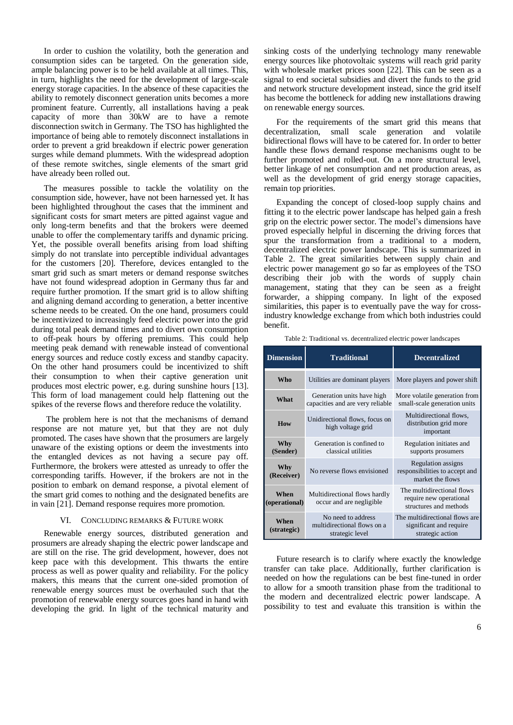In order to cushion the volatility, both the generation and consumption sides can be targeted. On the generation side, ample balancing power is to be held available at all times. This, in turn, highlights the need for the development of large-scale energy storage capacities. In the absence of these capacities the ability to remotely disconnect generation units becomes a more prominent feature. Currently, all installations having a peak capacity of more than 30kW are to have a remote disconnection switch in Germany. The TSO has highlighted the importance of being able to remotely disconnect installations in order to prevent a grid breakdown if electric power generation surges while demand plummets. With the widespread adoption of these remote switches, single elements of the smart grid have already been rolled out.

The measures possible to tackle the volatility on the consumption side, however, have not been harnessed yet. It has been highlighted throughout the cases that the imminent and significant costs for smart meters are pitted against vague and only long-term benefits and that the brokers were deemed unable to offer the complementary tariffs and dynamic pricing. Yet, the possible overall benefits arising from load shifting simply do not translate into perceptible individual advantages for the customers [20]. Therefore, devices entangled to the smart grid such as smart meters or demand response switches have not found widespread adoption in Germany thus far and require further promotion. If the smart grid is to allow shifting and aligning demand according to generation, a better incentive scheme needs to be created. On the one hand, prosumers could be incentivized to increasingly feed electric power into the grid during total peak demand times and to divert own consumption to off-peak hours by offering premiums. This could help meeting peak demand with renewable instead of conventional energy sources and reduce costly excess and standby capacity. On the other hand prosumers could be incentivized to shift their consumption to when their captive generation unit produces most electric power, e.g. during sunshine hours [13]. This form of load management could help flattening out the spikes of the reverse flows and therefore reduce the volatility.

The problem here is not that the mechanisms of demand response are not mature yet, but that they are not duly promoted. The cases have shown that the prosumers are largely unaware of the existing options or deem the investments into the entangled devices as not having a secure pay off. Furthermore, the brokers were attested as unready to offer the corresponding tariffs. However, if the brokers are not in the position to embark on demand response, a pivotal element of the smart grid comes to nothing and the designated benefits are in vain [21]. Demand response requires more promotion.

### VI. CONCLUDING REMARKS & FUTURE WORK

Renewable energy sources, distributed generation and prosumers are already shaping the electric power landscape and are still on the rise. The grid development, however, does not keep pace with this development. This thwarts the entire process as well as power quality and reliability. For the policy makers, this means that the current one-sided promotion of renewable energy sources must be overhauled such that the promotion of renewable energy sources goes hand in hand with developing the grid. In light of the technical maturity and sinking costs of the underlying technology many renewable energy sources like photovoltaic systems will reach grid parity with wholesale market prices soon [22]. This can be seen as a signal to end societal subsidies and divert the funds to the grid and network structure development instead, since the grid itself has become the bottleneck for adding new installations drawing on renewable energy sources.

For the requirements of the smart grid this means that decentralization, small scale generation and volatile bidirectional flows will have to be catered for. In order to better handle these flows demand response mechanisms ought to be further promoted and rolled-out. On a more structural level, better linkage of net consumption and net production areas, as well as the development of grid energy storage capacities, remain top priorities.

Expanding the concept of closed-loop supply chains and fitting it to the electric power landscape has helped gain a fresh grip on the electric power sector. The model's dimensions have proved especially helpful in discerning the driving forces that spur the transformation from a traditional to a modern, decentralized electric power landscape. This is summarized in Table 2. The great similarities between supply chain and electric power management go so far as employees of the TSO describing their job with the words of supply chain management, stating that they can be seen as a freight forwarder, a shipping company. In light of the exposed similarities, this paper is to eventually pave the way for crossindustry knowledge exchange from which both industries could benefit.

Table 2: Traditional vs. decentralized electric power landscapes

| <b>Dimension</b>      | <b>Traditional</b>                                                   | <b>Decentralized</b>                                                            |
|-----------------------|----------------------------------------------------------------------|---------------------------------------------------------------------------------|
| Who                   | Utilities are dominant players                                       | More players and power shift                                                    |
| What                  | Generation units have high<br>capacities and are very reliable       | More volatile generation from<br>small-scale generation units                   |
| How                   | Unidirectional flows, focus on<br>high voltage grid                  | Multidirectional flows,<br>distribution grid more<br>important                  |
| Why<br>(Sender)       | Generation is confined to<br>classical utilities                     | Regulation initiates and<br>supports prosumers                                  |
| Why<br>(Receiver)     | No reverse flows envisioned                                          | <b>Regulation</b> assigns<br>responsibilities to accept and<br>market the flows |
| When<br>(operational) | Multidirectional flows hardly<br>occur and are negligible            | The multidirectional flows<br>require new operational<br>structures and methods |
| When<br>(strategic)   | No need to address<br>multidirectional flows on a<br>strategic level | The multidirectional flows are<br>significant and require<br>strategic action   |

Future research is to clarify where exactly the knowledge transfer can take place. Additionally, further clarification is needed on how the regulations can be best fine-tuned in order to allow for a smooth transition phase from the traditional to the modern and decentralized electric power landscape. A possibility to test and evaluate this transition is within the